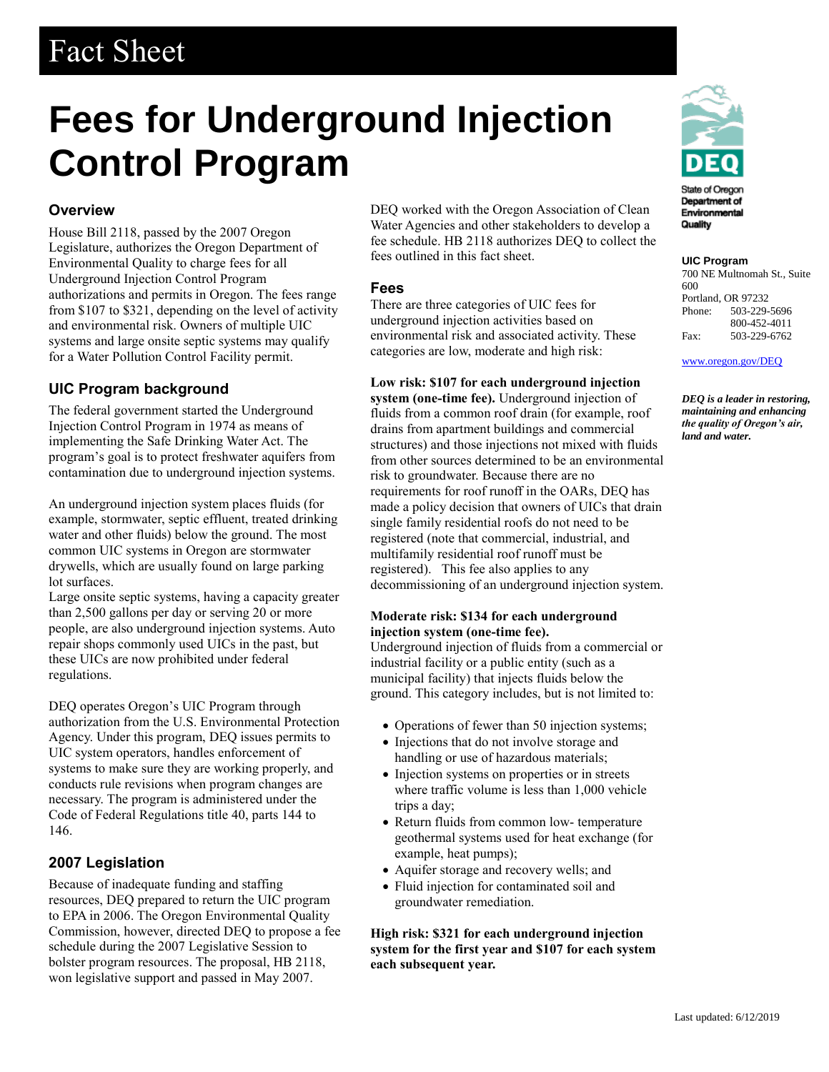# Fact Sheet

# **Fees for Underground Injection Control Program**

### **Overview**

House Bill 2118, passed by the 2007 Oregon Legislature, authorizes the Oregon Department of Environmental Quality to charge fees for all Underground Injection Control Program authorizations and permits in Oregon. The fees range from \$107 to \$321, depending on the level of activity and environmental risk. Owners of multiple UIC systems and large onsite septic systems may qualify for a Water Pollution Control Facility permit.

## **UIC Program background**

The federal government started the Underground Injection Control Program in 1974 as means of implementing the Safe Drinking Water Act. The program's goal is to protect freshwater aquifers from contamination due to underground injection systems.

An underground injection system places fluids (for example, stormwater, septic effluent, treated drinking water and other fluids) below the ground. The most common UIC systems in Oregon are stormwater drywells, which are usually found on large parking lot surfaces.

Large onsite septic systems, having a capacity greater than 2,500 gallons per day or serving 20 or more people, are also underground injection systems. Auto repair shops commonly used UICs in the past, but these UICs are now prohibited under federal regulations.

DEQ operates Oregon's UIC Program through authorization from the U.S. Environmental Protection Agency. Under this program, DEQ issues permits to UIC system operators, handles enforcement of systems to make sure they are working properly, and conducts rule revisions when program changes are necessary. The program is administered under the Code of Federal Regulations title 40, parts 144 to 146.

#### **2007 Legislation**

Because of inadequate funding and staffing resources, DEQ prepared to return the UIC program to EPA in 2006. The Oregon Environmental Quality Commission, however, directed DEQ to propose a fee schedule during the 2007 Legislative Session to bolster program resources. The proposal, HB 2118, won legislative support and passed in May 2007.

DEQ worked with the Oregon Association of Clean Water Agencies and other stakeholders to develop a fee schedule. HB 2118 authorizes DEQ to collect the fees outlined in this fact sheet.

#### **Fees**

There are three categories of UIC fees for underground injection activities based on environmental risk and associated activity. These categories are low, moderate and high risk:

#### **Low risk: \$107 for each underground injection**

**system (one-time fee).** Underground injection of fluids from a common roof drain (for example, roof drains from apartment buildings and commercial structures) and those injections not mixed with fluids from other sources determined to be an environmental risk to groundwater. Because there are no requirements for roof runoff in the OARs, DEQ has made a policy decision that owners of UICs that drain single family residential roofs do not need to be registered (note that commercial, industrial, and multifamily residential roof runoff must be registered). This fee also applies to any decommissioning of an underground injection system.

#### **Moderate risk: \$134 for each underground injection system (one-time fee).**

Underground injection of fluids from a commercial or industrial facility or a public entity (such as a municipal facility) that injects fluids below the ground. This category includes, but is not limited to:

- Operations of fewer than 50 injection systems;
- Injections that do not involve storage and handling or use of hazardous materials;
- Injection systems on properties or in streets where traffic volume is less than 1,000 vehicle trips a day;
- Return fluids from common low- temperature geothermal systems used for heat exchange (for example, heat pumps);
- Aquifer storage and recovery wells; and
- Fluid injection for contaminated soil and groundwater remediation.

**High risk: \$321 for each underground injection system for the first year and \$107 for each system each subsequent year.**



#### **UIC Program**

700 NE Multnomah St., Suite 600 Portland, OR 97232 Phone: 503-229-5696 800-452-4011 Fax: 503-229-6762

[www.oregon.gov/DEQ](file://///deq001/templates/General/www.oregon.gov/DEQ)

*DEQ is a leader in restoring, maintaining and enhancing the quality of Oregon's air, land and water.*